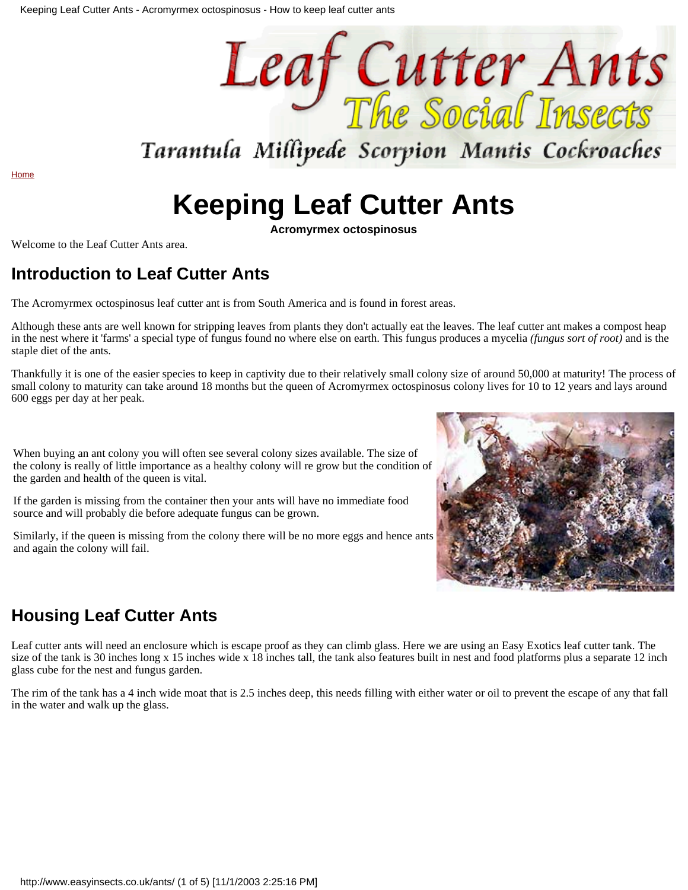

## Tarantula Millipede Scorpion Mantis Cockroaches

[Home](http://www.easyinsects.co.uk/index.html)

# **Keeping Leaf Cutter Ants**

**Acromyrmex octospinosus**

Welcome to the Leaf Cutter Ants area.

### **Introduction to Leaf Cutter Ants**

The Acromyrmex octospinosus leaf cutter ant is from South America and is found in forest areas.

Although these ants are well known for stripping leaves from plants they don't actually eat the leaves. The leaf cutter ant makes a compost heap in the nest where it 'farms' a special type of fungus found no where else on earth. This fungus produces a mycelia *(fungus sort of root)* and is the staple diet of the ants.

Thankfully it is one of the easier species to keep in captivity due to their relatively small colony size of around 50,000 at maturity! The process of small colony to maturity can take around 18 months but the queen of Acromyrmex octospinosus colony lives for 10 to 12 years and lays around 600 eggs per day at her peak.

When buying an ant colony you will often see several colony sizes available. The size of the colony is really of little importance as a healthy colony will re grow but the condition of the garden and health of the queen is vital.

If the garden is missing from the container then your ants will have no immediate food source and will probably die before adequate fungus can be grown.

Similarly, if the queen is missing from the colony there will be no more eggs and hence ants and again the colony will fail.



### **Housing Leaf Cutter Ants**

Leaf cutter ants will need an enclosure which is escape proof as they can climb glass. Here we are using an Easy Exotics leaf cutter tank. The size of the tank is 30 inches long x 15 inches wide x 18 inches tall, the tank also features built in nest and food platforms plus a separate 12 inch glass cube for the nest and fungus garden.

The rim of the tank has a 4 inch wide moat that is 2.5 inches deep, this needs filling with either water or oil to prevent the escape of any that fall in the water and walk up the glass.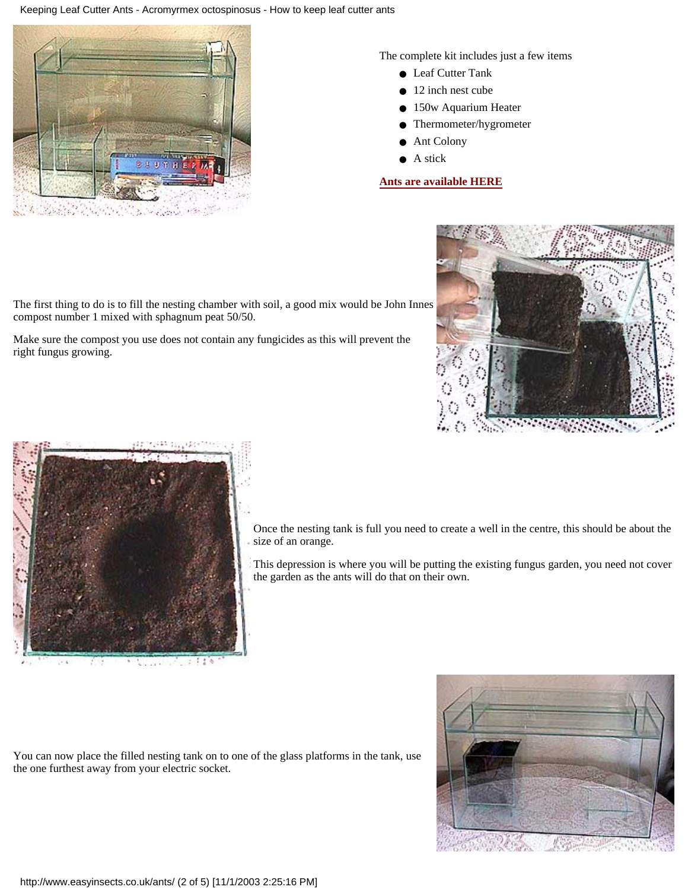#### Keeping Leaf Cutter Ants - Acromyrmex octospinosus - How to keep leaf cutter ants



The complete kit includes just a few items

- Leaf Cutter Tank
- 12 inch nest cube
- 150w Aquarium Heater
- Thermometer/hygrometer
- Ant Colony
- A stick

#### **[Ants are available HERE](http://www.easyexotics.co.uk/store/customer/home.php?cat=23)**



The first thing to do is to fill the nesting chamber with soil, a good mix would be John Innes compost number 1 mixed with sphagnum peat 50/50.

Make sure the compost you use does not contain any fungicides as this will prevent the right fungus growing.



Once the nesting tank is full you need to create a well in the centre, this should be about the size of an orange.

This depression is where you will be putting the existing fungus garden, you need not cover the garden as the ants will do that on their own.

You can now place the filled nesting tank on to one of the glass platforms in the tank, use the one furthest away from your electric socket.



http://www.easyinsects.co.uk/ants/ (2 of 5) [11/1/2003 2:25:16 PM]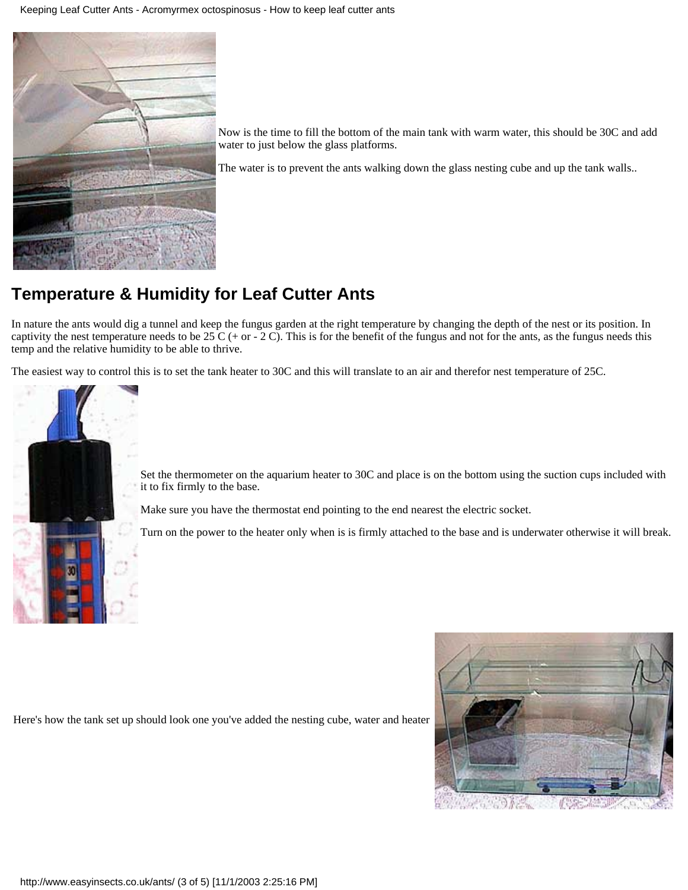

Now is the time to fill the bottom of the main tank with warm water, this should be 30C and add water to just below the glass platforms.

The water is to prevent the ants walking down the glass nesting cube and up the tank walls..

### **Temperature & Humidity for Leaf Cutter Ants**

In nature the ants would dig a tunnel and keep the fungus garden at the right temperature by changing the depth of the nest or its position. In captivity the nest temperature needs to be 25 C (+ or - 2 C). This is for the benefit of the fungus and not for the ants, as the fungus needs this temp and the relative humidity to be able to thrive.

The easiest way to control this is to set the tank heater to 30C and this will translate to an air and therefor nest temperature of 25C.



Set the thermometer on the aquarium heater to 30C and place is on the bottom using the suction cups included with it to fix firmly to the base.

Make sure you have the thermostat end pointing to the end nearest the electric socket.

Turn on the power to the heater only when is is firmly attached to the base and is underwater otherwise it will break.

Here's how the tank set up should look one you've added the nesting cube, water and heater

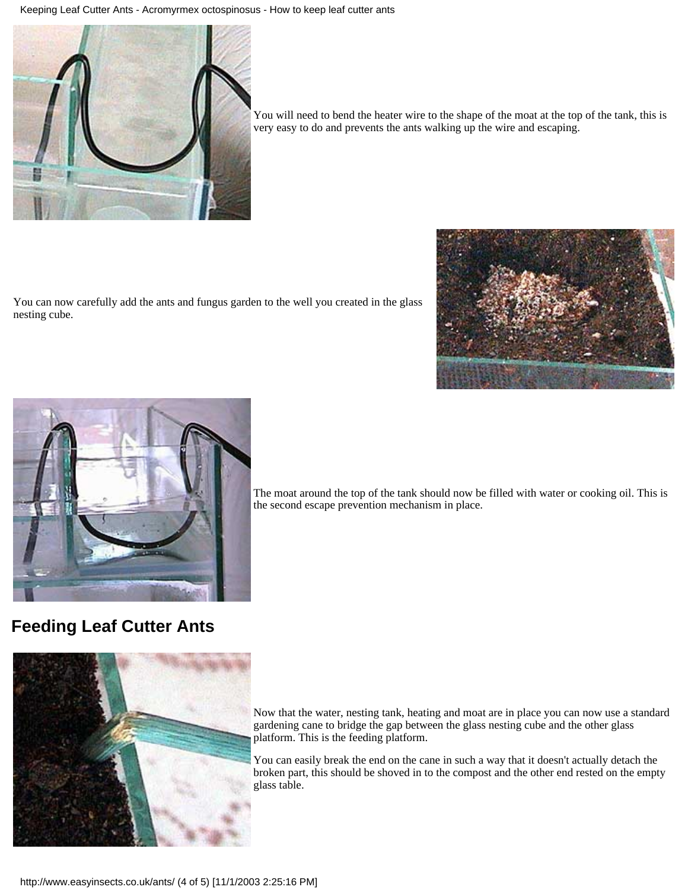Keeping Leaf Cutter Ants - Acromyrmex octospinosus - How to keep leaf cutter ants



You will need to bend the heater wire to the shape of the moat at the top of the tank, this is very easy to do and prevents the ants walking up the wire and escaping.

You can now carefully add the ants and fungus garden to the well you created in the glass nesting cube.





**Feeding Leaf Cutter Ants**

The moat around the top of the tank should now be filled with water or cooking oil. This is the second escape prevention mechanism in place.



Now that the water, nesting tank, heating and moat are in place you can now use a standard gardening cane to bridge the gap between the glass nesting cube and the other glass platform. This is the feeding platform.

You can easily break the end on the cane in such a way that it doesn't actually detach the broken part, this should be shoved in to the compost and the other end rested on the empty glass table.